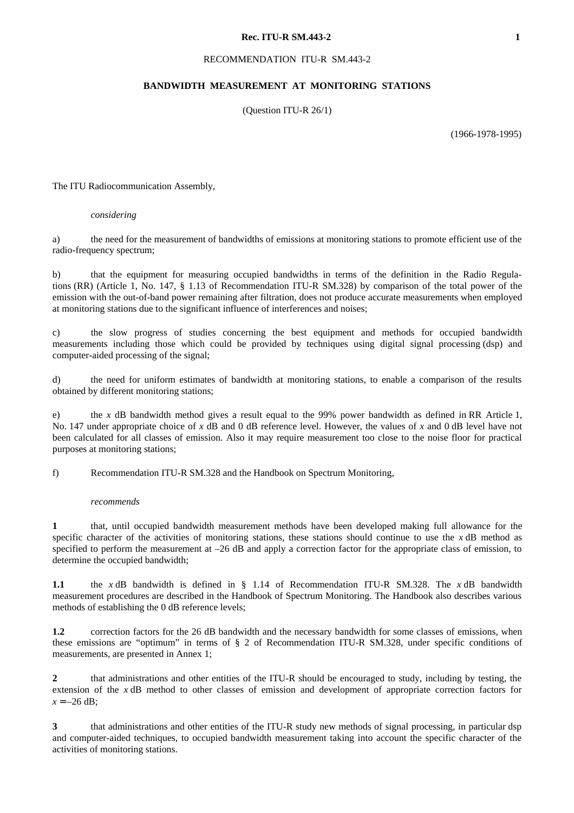# **Rec. ITU-R SM.443-2** 1

# RECOMMENDATION ITU-R SM.443-2

# **BANDWIDTH MEASUREMENT AT MONITORING STATIONS**

(Question ITU-R 26/1)

(1966-1978-1995)

The ITU Radiocommunication Assembly,

#### *considering*

a) the need for the measurement of bandwidths of emissions at monitoring stations to promote efficient use of the radio-frequency spectrum;

b) that the equipment for measuring occupied bandwidths in terms of the definition in the Radio Regulations (RR) (Article 1, No. 147, § 1.13 of Recommendation ITU-R SM.328) by comparison of the total power of the emission with the out-of-band power remaining after filtration, does not produce accurate measurements when employed at monitoring stations due to the significant influence of interferences and noises;

c) the slow progress of studies concerning the best equipment and methods for occupied bandwidth measurements including those which could be provided by techniques using digital signal processing (dsp) and computer-aided processing of the signal;

d) the need for uniform estimates of bandwidth at monitoring stations, to enable a comparison of the results obtained by different monitoring stations;

e) the *x* dB bandwidth method gives a result equal to the 99% power bandwidth as defined in RR Article 1, No. 147 under appropriate choice of *x* dB and 0 dB reference level. However, the values of *x* and 0 dB level have not been calculated for all classes of emission. Also it may require measurement too close to the noise floor for practical purposes at monitoring stations;

f) Recommendation ITU-R SM.328 and the Handbook on Spectrum Monitoring,

#### *recommends*

**1** that, until occupied bandwidth measurement methods have been developed making full allowance for the specific character of the activities of monitoring stations, these stations should continue to use the *x* dB method as specified to perform the measurement at –26 dB and apply a correction factor for the appropriate class of emission, to determine the occupied bandwidth;

**1.1** the *x* dB bandwidth is defined in § 1.14 of Recommendation ITU-R SM.328. The *x* dB bandwidth measurement procedures are described in the Handbook of Spectrum Monitoring. The Handbook also describes various methods of establishing the 0 dB reference levels;

**1.2** correction factors for the 26 dB bandwidth and the necessary bandwidth for some classes of emissions, when these emissions are "optimum" in terms of § 2 of Recommendation ITU-R SM.328, under specific conditions of measurements, are presented in Annex 1;

**2** that administrations and other entities of the ITU-R should be encouraged to study, including by testing, the extension of the *x* dB method to other classes of emission and development of appropriate correction factors for  $x = -26$  dB;

**3** that administrations and other entities of the ITU-R study new methods of signal processing, in particular dsp and computer-aided techniques, to occupied bandwidth measurement taking into account the specific character of the activities of monitoring stations.